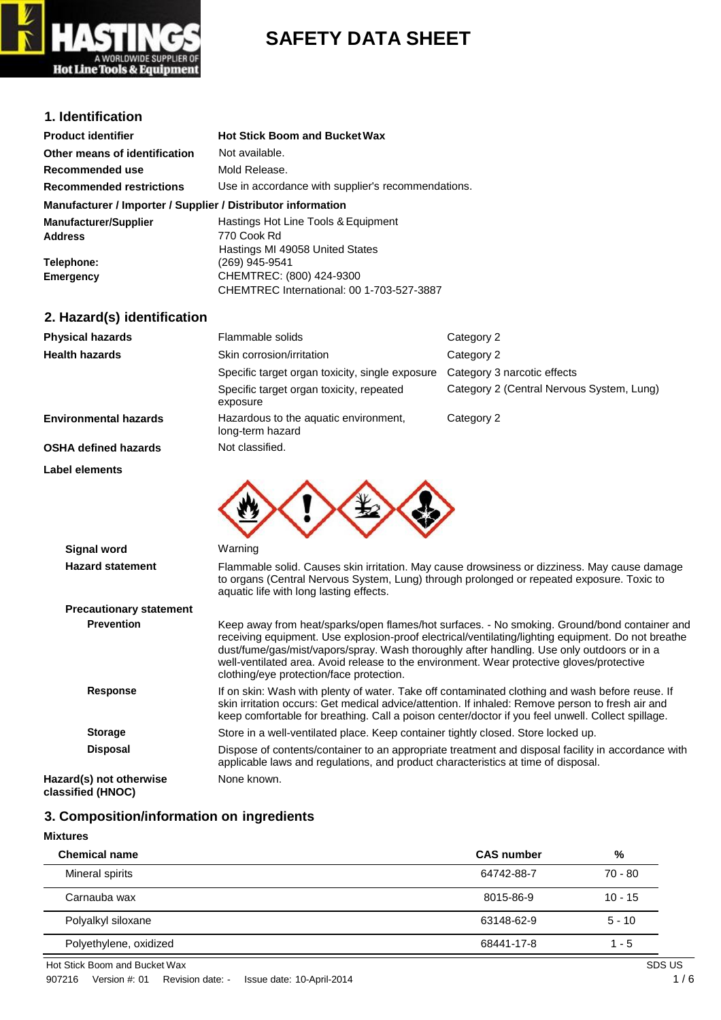

# **SAFETY DATA SHEET**

### **1. Identification**

| <b>Product identifier</b>                                    | <b>Hot Stick Boom and Bucket Wax</b>               |
|--------------------------------------------------------------|----------------------------------------------------|
| Other means of identification                                | Not available.                                     |
| Recommended use                                              | Mold Release.                                      |
| <b>Recommended restrictions</b>                              | Use in accordance with supplier's recommendations. |
| Manufacturer / Importer / Supplier / Distributor information |                                                    |
| <b>Manufacturer/Supplier</b>                                 | Hastings Hot Line Tools & Equipment                |
| <b>Address</b>                                               | 770 Cook Rd                                        |
|                                                              | Hastings MI 49058 United States                    |
| Telephone:                                                   | (269) 945-9541                                     |
| Emergency                                                    | CHEMTREC: (800) 424-9300                           |
|                                                              | CHEMTREC International: 00 1-703-527-3887          |

### **2. Hazard(s) identification**

| <b>Physical hazards</b>                       | Flammable solids                                                                                                                                                                                                                    | Category 2                                                                                                                                                                                                                                                                                               |
|-----------------------------------------------|-------------------------------------------------------------------------------------------------------------------------------------------------------------------------------------------------------------------------------------|----------------------------------------------------------------------------------------------------------------------------------------------------------------------------------------------------------------------------------------------------------------------------------------------------------|
| <b>Health hazards</b>                         | Skin corrosion/irritation                                                                                                                                                                                                           | Category 2                                                                                                                                                                                                                                                                                               |
|                                               | Specific target organ toxicity, single exposure                                                                                                                                                                                     | Category 3 narcotic effects                                                                                                                                                                                                                                                                              |
|                                               | Specific target organ toxicity, repeated<br>exposure                                                                                                                                                                                | Category 2 (Central Nervous System, Lung)                                                                                                                                                                                                                                                                |
| <b>Environmental hazards</b>                  | Hazardous to the aquatic environment,<br>long-term hazard                                                                                                                                                                           | Category 2                                                                                                                                                                                                                                                                                               |
| <b>OSHA defined hazards</b>                   | Not classified.                                                                                                                                                                                                                     |                                                                                                                                                                                                                                                                                                          |
| <b>Label elements</b>                         |                                                                                                                                                                                                                                     |                                                                                                                                                                                                                                                                                                          |
| <b>Signal word</b><br><b>Hazard statement</b> | Warning                                                                                                                                                                                                                             | Flammable solid. Causes skin irritation. May cause drowsiness or dizziness. May cause damage                                                                                                                                                                                                             |
|                                               | aquatic life with long lasting effects.                                                                                                                                                                                             | to organs (Central Nervous System, Lung) through prolonged or repeated exposure. Toxic to                                                                                                                                                                                                                |
| <b>Precautionary statement</b>                |                                                                                                                                                                                                                                     |                                                                                                                                                                                                                                                                                                          |
| <b>Prevention</b>                             | dust/fume/gas/mist/vapors/spray. Wash thoroughly after handling. Use only outdoors or in a<br>well-ventilated area. Avoid release to the environment. Wear protective gloves/protective<br>clothing/eye protection/face protection. | Keep away from heat/sparks/open flames/hot surfaces. - No smoking. Ground/bond container and<br>receiving equipment. Use explosion-proof electrical/ventilating/lighting equipment. Do not breathe                                                                                                       |
| <b>Response</b>                               |                                                                                                                                                                                                                                     | If on skin: Wash with plenty of water. Take off contaminated clothing and wash before reuse. If<br>skin irritation occurs: Get medical advice/attention. If inhaled: Remove person to fresh air and<br>keep comfortable for breathing. Call a poison center/doctor if you feel unwell. Collect spillage. |
| <b>Storage</b>                                | Store in a well-ventilated place. Keep container tightly closed. Store locked up.                                                                                                                                                   |                                                                                                                                                                                                                                                                                                          |
| <b>Disposal</b>                               | applicable laws and regulations, and product characteristics at time of disposal.                                                                                                                                                   | Dispose of contents/container to an appropriate treatment and disposal facility in accordance with                                                                                                                                                                                                       |
| Hazard(s) not otherwise                       | None known.                                                                                                                                                                                                                         |                                                                                                                                                                                                                                                                                                          |

**classified (HNOC)**

## **3. Composition/information on ingredients**

#### **Mixtures**

| <b>Chemical name</b>   | <b>CAS number</b> | %         |
|------------------------|-------------------|-----------|
| Mineral spirits        | 64742-88-7        | $70 - 80$ |
| Carnauba wax           | 8015-86-9         | $10 - 15$ |
| Polyalkyl siloxane     | 63148-62-9        | $5 - 10$  |
| Polyethylene, oxidized | 68441-17-8        | $1 - 5$   |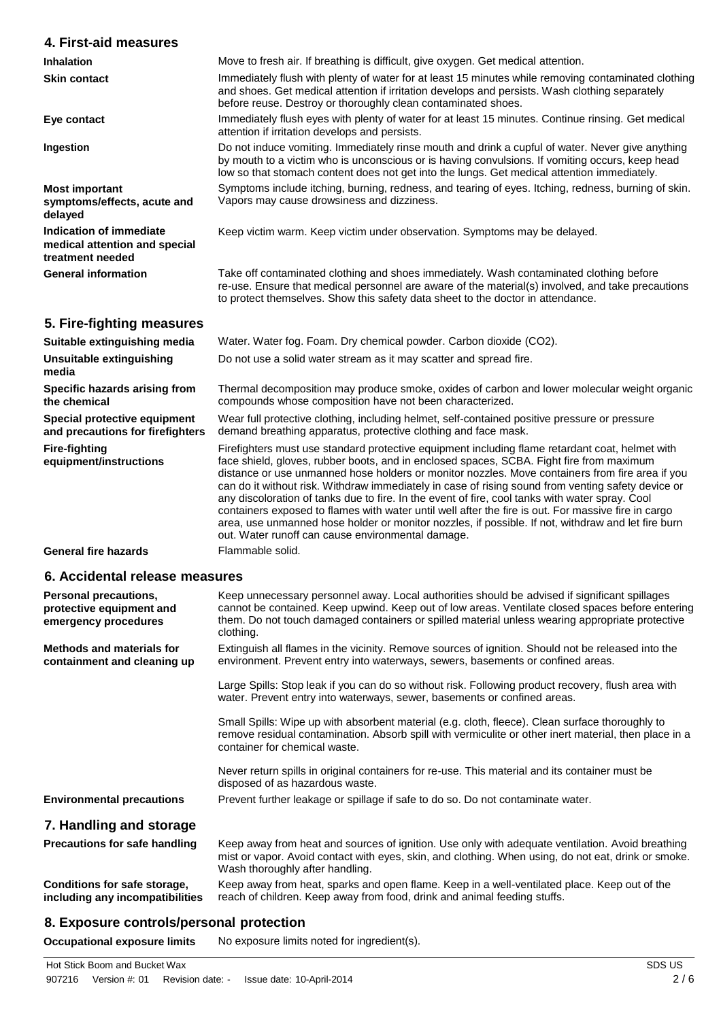| 4. First-aid measures                                                        |                                                                                                                                                                                                                                                                                                                                                                                                                                                                                                                                                                                                                                                                                                                                                                           |  |  |  |
|------------------------------------------------------------------------------|---------------------------------------------------------------------------------------------------------------------------------------------------------------------------------------------------------------------------------------------------------------------------------------------------------------------------------------------------------------------------------------------------------------------------------------------------------------------------------------------------------------------------------------------------------------------------------------------------------------------------------------------------------------------------------------------------------------------------------------------------------------------------|--|--|--|
| <b>Inhalation</b>                                                            | Move to fresh air. If breathing is difficult, give oxygen. Get medical attention.                                                                                                                                                                                                                                                                                                                                                                                                                                                                                                                                                                                                                                                                                         |  |  |  |
| <b>Skin contact</b>                                                          | Immediately flush with plenty of water for at least 15 minutes while removing contaminated clothing<br>and shoes. Get medical attention if irritation develops and persists. Wash clothing separately<br>before reuse. Destroy or thoroughly clean contaminated shoes.                                                                                                                                                                                                                                                                                                                                                                                                                                                                                                    |  |  |  |
| Eye contact                                                                  | Immediately flush eyes with plenty of water for at least 15 minutes. Continue rinsing. Get medical<br>attention if irritation develops and persists.                                                                                                                                                                                                                                                                                                                                                                                                                                                                                                                                                                                                                      |  |  |  |
| Ingestion                                                                    | Do not induce vomiting. Immediately rinse mouth and drink a cupful of water. Never give anything<br>by mouth to a victim who is unconscious or is having convulsions. If vomiting occurs, keep head<br>low so that stomach content does not get into the lungs. Get medical attention immediately.                                                                                                                                                                                                                                                                                                                                                                                                                                                                        |  |  |  |
| <b>Most important</b><br>symptoms/effects, acute and<br>delayed              | Symptoms include itching, burning, redness, and tearing of eyes. Itching, redness, burning of skin.<br>Vapors may cause drowsiness and dizziness.                                                                                                                                                                                                                                                                                                                                                                                                                                                                                                                                                                                                                         |  |  |  |
| Indication of immediate<br>medical attention and special<br>treatment needed | Keep victim warm. Keep victim under observation. Symptoms may be delayed.                                                                                                                                                                                                                                                                                                                                                                                                                                                                                                                                                                                                                                                                                                 |  |  |  |
| <b>General information</b>                                                   | Take off contaminated clothing and shoes immediately. Wash contaminated clothing before<br>re-use. Ensure that medical personnel are aware of the material(s) involved, and take precautions<br>to protect themselves. Show this safety data sheet to the doctor in attendance.                                                                                                                                                                                                                                                                                                                                                                                                                                                                                           |  |  |  |
| 5. Fire-fighting measures                                                    |                                                                                                                                                                                                                                                                                                                                                                                                                                                                                                                                                                                                                                                                                                                                                                           |  |  |  |
| Suitable extinguishing media                                                 | Water. Water fog. Foam. Dry chemical powder. Carbon dioxide (CO2).                                                                                                                                                                                                                                                                                                                                                                                                                                                                                                                                                                                                                                                                                                        |  |  |  |
| Unsuitable extinguishing<br>media                                            | Do not use a solid water stream as it may scatter and spread fire.                                                                                                                                                                                                                                                                                                                                                                                                                                                                                                                                                                                                                                                                                                        |  |  |  |
| Specific hazards arising from<br>the chemical                                | Thermal decomposition may produce smoke, oxides of carbon and lower molecular weight organic<br>compounds whose composition have not been characterized.                                                                                                                                                                                                                                                                                                                                                                                                                                                                                                                                                                                                                  |  |  |  |
| Special protective equipment<br>and precautions for firefighters             | Wear full protective clothing, including helmet, self-contained positive pressure or pressure<br>demand breathing apparatus, protective clothing and face mask.                                                                                                                                                                                                                                                                                                                                                                                                                                                                                                                                                                                                           |  |  |  |
| <b>Fire-fighting</b><br>equipment/instructions                               | Firefighters must use standard protective equipment including flame retardant coat, helmet with<br>face shield, gloves, rubber boots, and in enclosed spaces, SCBA. Fight fire from maximum<br>distance or use unmanned hose holders or monitor nozzles. Move containers from fire area if you<br>can do it without risk. Withdraw immediately in case of rising sound from venting safety device or<br>any discoloration of tanks due to fire. In the event of fire, cool tanks with water spray. Cool<br>containers exposed to flames with water until well after the fire is out. For massive fire in cargo<br>area, use unmanned hose holder or monitor nozzles, if possible. If not, withdraw and let fire burn<br>out. Water runoff can cause environmental damage. |  |  |  |
| <b>General fire hazards</b>                                                  | Flammable solid.                                                                                                                                                                                                                                                                                                                                                                                                                                                                                                                                                                                                                                                                                                                                                          |  |  |  |
|                                                                              | 6. Accidental release measures                                                                                                                                                                                                                                                                                                                                                                                                                                                                                                                                                                                                                                                                                                                                            |  |  |  |
| Personal precautions,<br>protective equipment and<br>emergency procedures    | Keep unnecessary personnel away. Local authorities should be advised if significant spillages<br>cannot be contained. Keep upwind. Keep out of low areas. Ventilate closed spaces before entering<br>them. Do not touch damaged containers or spilled material unless wearing appropriate protective<br>clothing.                                                                                                                                                                                                                                                                                                                                                                                                                                                         |  |  |  |
| <b>Methods and materials for</b><br>containment and cleaning up              | Extinguish all flames in the vicinity. Remove sources of ignition. Should not be released into the<br>environment. Prevent entry into waterways, sewers, basements or confined areas.                                                                                                                                                                                                                                                                                                                                                                                                                                                                                                                                                                                     |  |  |  |
|                                                                              | Large Spills: Stop leak if you can do so without risk. Following product recovery, flush area with<br>water. Prevent entry into waterways, sewer, basements or confined areas.                                                                                                                                                                                                                                                                                                                                                                                                                                                                                                                                                                                            |  |  |  |
|                                                                              | Small Spills: Wipe up with absorbent material (e.g. cloth, fleece). Clean surface thoroughly to<br>remove residual contamination. Absorb spill with vermiculite or other inert material, then place in a<br>container for chemical waste.                                                                                                                                                                                                                                                                                                                                                                                                                                                                                                                                 |  |  |  |
|                                                                              | Never return spills in original containers for re-use. This material and its container must be<br>disposed of as hazardous waste.                                                                                                                                                                                                                                                                                                                                                                                                                                                                                                                                                                                                                                         |  |  |  |
| <b>Environmental precautions</b>                                             | Prevent further leakage or spillage if safe to do so. Do not contaminate water.                                                                                                                                                                                                                                                                                                                                                                                                                                                                                                                                                                                                                                                                                           |  |  |  |
| 7. Handling and storage                                                      |                                                                                                                                                                                                                                                                                                                                                                                                                                                                                                                                                                                                                                                                                                                                                                           |  |  |  |

**Precautions for safe handling** Keep away from heat and sources of ignition. Use only with adequate ventilation. Avoid breathing mist or vapor. Avoid contact with eyes, skin, and clothing. When using, do not eat, drink or smoke. Wash thoroughly after handling. **Conditions for safe storage, including any incompatibilities** Keep away from heat, sparks and open flame. Keep in a well-ventilated place. Keep out of the reach of children. Keep away from food, drink and animal feeding stuffs.

### **8. Exposure controls/personal protection**

**Occupational exposure limits** No exposure limits noted for ingredient(s).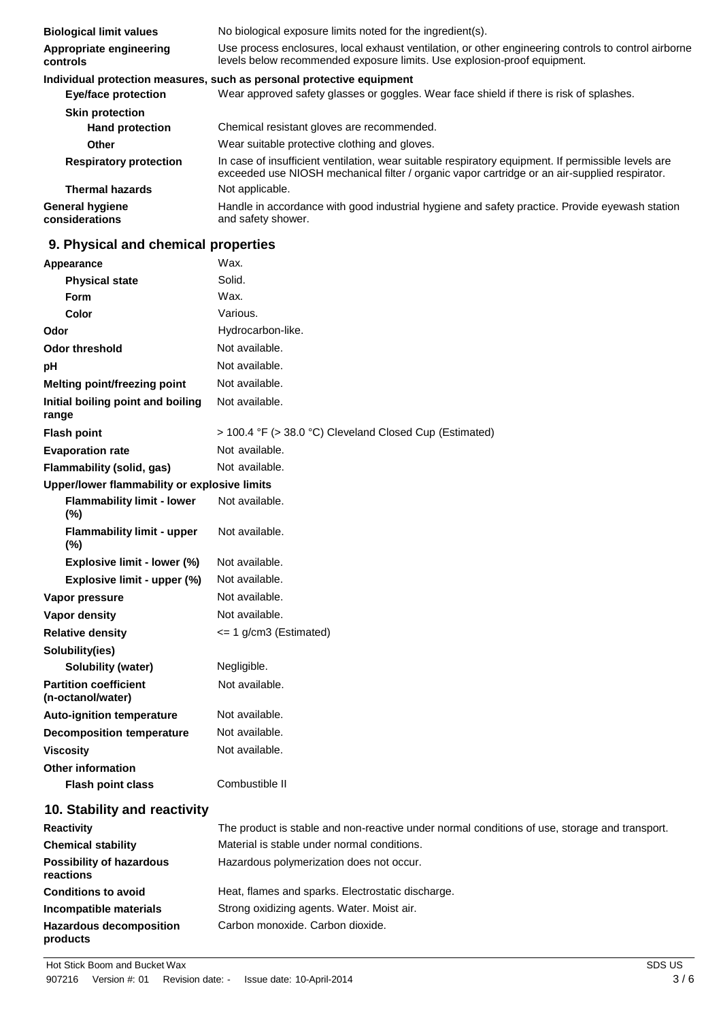| <b>Biological limit values</b>           | No biological exposure limits noted for the ingredient(s).                                                                                                                                           |
|------------------------------------------|------------------------------------------------------------------------------------------------------------------------------------------------------------------------------------------------------|
| Appropriate engineering<br>controls      | Use process enclosures, local exhaust ventilation, or other engineering controls to control airborne<br>levels below recommended exposure limits. Use explosion-proof equipment.                     |
|                                          | Individual protection measures, such as personal protective equipment                                                                                                                                |
| <b>Eye/face protection</b>               | Wear approved safety glasses or goggles. Wear face shield if there is risk of splashes.                                                                                                              |
| <b>Skin protection</b>                   |                                                                                                                                                                                                      |
| <b>Hand protection</b>                   | Chemical resistant gloves are recommended.                                                                                                                                                           |
| Other                                    | Wear suitable protective clothing and gloves.                                                                                                                                                        |
| <b>Respiratory protection</b>            | In case of insufficient ventilation, wear suitable respiratory equipment. If permissible levels are<br>exceeded use NIOSH mechanical filter / organic vapor cartridge or an air-supplied respirator. |
| <b>Thermal hazards</b>                   | Not applicable.                                                                                                                                                                                      |
| <b>General hygiene</b><br>considerations | Handle in accordance with good industrial hygiene and safety practice. Provide eyewash station<br>and safety shower.                                                                                 |

## **9. Physical and chemical properties**

| Appearance                                           | Wax.                                                                                          |
|------------------------------------------------------|-----------------------------------------------------------------------------------------------|
| <b>Physical state</b>                                | Solid.                                                                                        |
| Form                                                 | Wax.                                                                                          |
| Color                                                | Various.                                                                                      |
| Odor                                                 | Hydrocarbon-like.                                                                             |
| <b>Odor threshold</b>                                | Not available.                                                                                |
| рH                                                   | Not available.                                                                                |
| <b>Melting point/freezing point</b>                  | Not available.                                                                                |
| Initial boiling point and boiling<br>range           | Not available.                                                                                |
| <b>Flash point</b>                                   | > 100.4 °F (> 38.0 °C) Cleveland Closed Cup (Estimated)                                       |
| <b>Evaporation rate</b>                              | Not available.                                                                                |
| Flammability (solid, gas)                            | Not available.                                                                                |
| Upper/lower flammability or explosive limits         |                                                                                               |
| <b>Flammability limit - lower</b><br>$(\%)$          | Not available.                                                                                |
| <b>Flammability limit - upper</b><br>$(\%)$          | Not available.                                                                                |
| Explosive limit - lower (%)                          | Not available.                                                                                |
| Explosive limit - upper (%)                          | Not available.                                                                                |
| Vapor pressure                                       | Not available.                                                                                |
| Vapor density                                        | Not available.                                                                                |
| <b>Relative density</b>                              | <= 1 g/cm3 (Estimated)                                                                        |
| Solubility(ies)                                      |                                                                                               |
| <b>Solubility (water)</b>                            | Negligible.                                                                                   |
| <b>Partition coefficient</b><br>(n-octanol/water)    | Not available.                                                                                |
| <b>Auto-ignition temperature</b>                     | Not available.                                                                                |
| <b>Decomposition temperature</b>                     | Not available.                                                                                |
| <b>Viscosity</b>                                     | Not available.                                                                                |
| <b>Other information</b><br><b>Flash point class</b> | Combustible II                                                                                |
| 10. Stability and reactivity                         |                                                                                               |
| <b>Reactivity</b>                                    | The product is stable and non-reactive under normal conditions of use, storage and transport. |
| <b>Chemical stability</b>                            | Material is stable under normal conditions.                                                   |
| <b>Possibility of hazardous</b><br>reactions         | Hazardous polymerization does not occur.                                                      |
| <b>Conditions to avoid</b>                           | Heat, flames and sparks. Electrostatic discharge.                                             |
| Incompatible materials                               | Strong oxidizing agents. Water. Moist air.                                                    |

Carbon monoxide. Carbon dioxide.

**Hazardous decomposition** 

**products**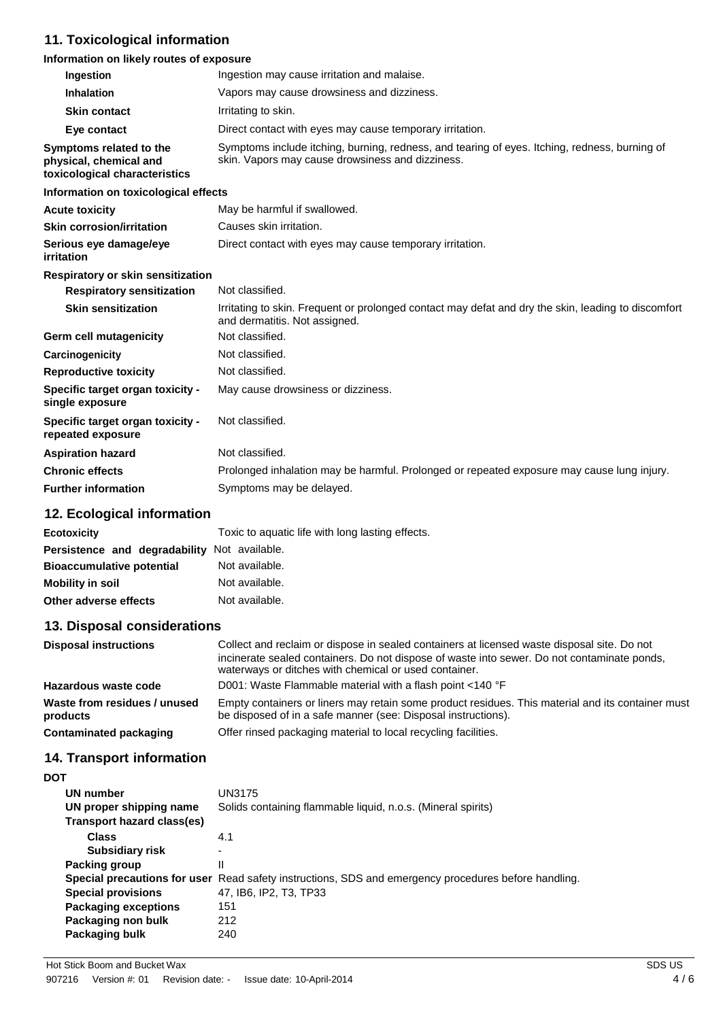# **11. Toxicological information**

### **Information on likely routes of exposure**

| Ingestion                                                                          | Ingestion may cause irritation and malaise.                                                                                                       |
|------------------------------------------------------------------------------------|---------------------------------------------------------------------------------------------------------------------------------------------------|
| Inhalation                                                                         | Vapors may cause drowsiness and dizziness.                                                                                                        |
| <b>Skin contact</b>                                                                | Irritating to skin.                                                                                                                               |
| Eye contact                                                                        | Direct contact with eyes may cause temporary irritation.                                                                                          |
| Symptoms related to the<br>physical, chemical and<br>toxicological characteristics | Symptoms include itching, burning, redness, and tearing of eyes. Itching, redness, burning of<br>skin. Vapors may cause drowsiness and dizziness. |
| Information on toxicological effects                                               |                                                                                                                                                   |
| <b>Acute toxicity</b>                                                              | May be harmful if swallowed.                                                                                                                      |
| <b>Skin corrosion/irritation</b>                                                   | Causes skin irritation.                                                                                                                           |
| Serious eye damage/eye<br>irritation                                               | Direct contact with eyes may cause temporary irritation.                                                                                          |
| Respiratory or skin sensitization                                                  |                                                                                                                                                   |
| <b>Respiratory sensitization</b>                                                   | Not classified.                                                                                                                                   |
| <b>Skin sensitization</b>                                                          | Irritating to skin. Frequent or prolonged contact may defat and dry the skin, leading to discomfort<br>and dermatitis. Not assigned.              |
| <b>Germ cell mutagenicity</b>                                                      | Not classified.                                                                                                                                   |
| Carcinogenicity                                                                    | Not classified.                                                                                                                                   |
| <b>Reproductive toxicity</b>                                                       | Not classified.                                                                                                                                   |
| Specific target organ toxicity -<br>single exposure                                | May cause drowsiness or dizziness.                                                                                                                |
| Specific target organ toxicity -<br>repeated exposure                              | Not classified.                                                                                                                                   |
| <b>Aspiration hazard</b>                                                           | Not classified.                                                                                                                                   |
| <b>Chronic effects</b>                                                             | Prolonged inhalation may be harmful. Prolonged or repeated exposure may cause lung injury.                                                        |
| <b>Further information</b>                                                         | Symptoms may be delayed.                                                                                                                          |

# **12. Ecological information**

| <b>Ecotoxicity</b>                           | Toxic to aquatic life with long lasting effects. |
|----------------------------------------------|--------------------------------------------------|
| Persistence and degradability Not available. |                                                  |
| <b>Bioaccumulative potential</b>             | Not available.                                   |
| <b>Mobility in soil</b>                      | Not available.                                   |
| Other adverse effects                        | Not available.                                   |

### **13. Disposal considerations**

| <b>Disposal instructions</b>             | Collect and reclaim or dispose in sealed containers at licensed waste disposal site. Do not<br>incinerate sealed containers. Do not dispose of waste into sewer. Do not contaminate ponds,<br>waterways or ditches with chemical or used container. |
|------------------------------------------|-----------------------------------------------------------------------------------------------------------------------------------------------------------------------------------------------------------------------------------------------------|
| Hazardous waste code                     | D001: Waste Flammable material with a flash point <140 °F                                                                                                                                                                                           |
| Waste from residues / unused<br>products | Empty containers or liners may retain some product residues. This material and its container must<br>be disposed of in a safe manner (see: Disposal instructions).                                                                                  |
| <b>Contaminated packaging</b>            | Offer rinsed packaging material to local recycling facilities.                                                                                                                                                                                      |

# **14. Transport information**

| UN number                    | UN3175                                                                  |
|------------------------------|-------------------------------------------------------------------------|
| UN proper shipping name      | Solids containing flammable liquid, n.o.s. (Mineral spirits)            |
| Transport hazard class(es)   |                                                                         |
| <b>Class</b>                 | 4.1                                                                     |
| Subsidiary risk              | -                                                                       |
| Packing group                | Ш                                                                       |
| Special precautions for user | Read safety instructions, SDS and emergency procedures before handling. |
| <b>Special provisions</b>    | 47, IB6, IP2, T3, TP33                                                  |
| <b>Packaging exceptions</b>  | 151                                                                     |
| Packaging non bulk           | 212                                                                     |
| Packaging bulk               | 240                                                                     |
|                              |                                                                         |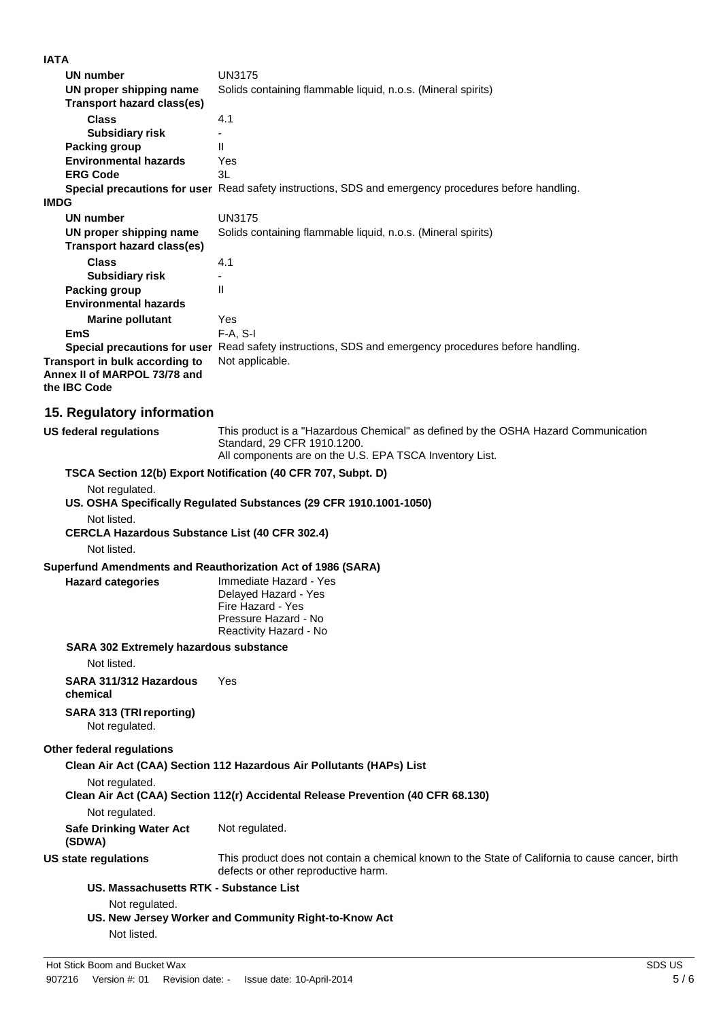| <b>IATA</b>                                                    |                                                                                                                                         |
|----------------------------------------------------------------|-----------------------------------------------------------------------------------------------------------------------------------------|
| UN number                                                      | <b>UN3175</b>                                                                                                                           |
| UN proper shipping name                                        | Solids containing flammable liquid, n.o.s. (Mineral spirits)                                                                            |
| Transport hazard class(es)                                     |                                                                                                                                         |
| <b>Class</b>                                                   | 4.1                                                                                                                                     |
| <b>Subsidiary risk</b>                                         | $\blacksquare$                                                                                                                          |
| Packing group                                                  | Ш                                                                                                                                       |
| <b>Environmental hazards</b>                                   | Yes                                                                                                                                     |
| <b>ERG Code</b>                                                | 3L                                                                                                                                      |
|                                                                | Special precautions for user Read safety instructions, SDS and emergency procedures before handling.                                    |
| <b>IMDG</b>                                                    |                                                                                                                                         |
| <b>UN number</b>                                               | <b>UN3175</b>                                                                                                                           |
| UN proper shipping name<br>Transport hazard class(es)          | Solids containing flammable liquid, n.o.s. (Mineral spirits)                                                                            |
| <b>Class</b><br><b>Subsidiary risk</b>                         | 4.1                                                                                                                                     |
| <b>Packing group</b>                                           | Ш                                                                                                                                       |
| <b>Environmental hazards</b>                                   |                                                                                                                                         |
| <b>Marine pollutant</b>                                        | Yes                                                                                                                                     |
| <b>EmS</b>                                                     | $F-A, S-I$                                                                                                                              |
|                                                                | Special precautions for user Read safety instructions, SDS and emergency procedures before handling.                                    |
| Transport in bulk according to<br>Annex II of MARPOL 73/78 and | Not applicable.                                                                                                                         |
| the IBC Code                                                   |                                                                                                                                         |
|                                                                |                                                                                                                                         |
| 15. Regulatory information                                     |                                                                                                                                         |
| <b>US federal regulations</b>                                  | This product is a "Hazardous Chemical" as defined by the OSHA Hazard Communication                                                      |
|                                                                | Standard, 29 CFR 1910.1200.<br>All components are on the U.S. EPA TSCA Inventory List.                                                  |
|                                                                | TSCA Section 12(b) Export Notification (40 CFR 707, Subpt. D)                                                                           |
|                                                                |                                                                                                                                         |
| Not regulated.                                                 | US. OSHA Specifically Regulated Substances (29 CFR 1910.1001-1050)                                                                      |
|                                                                |                                                                                                                                         |
| Not listed.                                                    |                                                                                                                                         |
| <b>CERCLA Hazardous Substance List (40 CFR 302.4)</b>          |                                                                                                                                         |
| Not listed.                                                    |                                                                                                                                         |
| Superfund Amendments and Reauthorization Act of 1986 (SARA)    |                                                                                                                                         |
| <b>Hazard categories</b>                                       | Immediate Hazard - Yes                                                                                                                  |
|                                                                | Delayed Hazard - Yes                                                                                                                    |
|                                                                | Fire Hazard - Yes<br>Pressure Hazard - No                                                                                               |
|                                                                | Reactivity Hazard - No                                                                                                                  |
| <b>SARA 302 Extremely hazardous substance</b>                  |                                                                                                                                         |
| Not listed.                                                    |                                                                                                                                         |
|                                                                |                                                                                                                                         |
| SARA 311/312 Hazardous<br>chemical                             | Yes                                                                                                                                     |
| SARA 313 (TRI reporting)<br>Not regulated.                     |                                                                                                                                         |
|                                                                |                                                                                                                                         |
| Other federal regulations                                      |                                                                                                                                         |
|                                                                | Clean Air Act (CAA) Section 112 Hazardous Air Pollutants (HAPs) List                                                                    |
| Not regulated.                                                 |                                                                                                                                         |
|                                                                | Clean Air Act (CAA) Section 112(r) Accidental Release Prevention (40 CFR 68.130)                                                        |
| Not regulated.                                                 |                                                                                                                                         |
| <b>Safe Drinking Water Act</b><br>(SDWA)                       | Not regulated.                                                                                                                          |
| <b>US state regulations</b>                                    | This product does not contain a chemical known to the State of California to cause cancer, birth<br>defects or other reproductive harm. |
| US. Massachusetts RTK - Substance List                         |                                                                                                                                         |
| Not regulated.                                                 |                                                                                                                                         |
|                                                                | US. New Jersey Worker and Community Right-to-Know Act                                                                                   |
| Not listed.                                                    |                                                                                                                                         |
|                                                                |                                                                                                                                         |